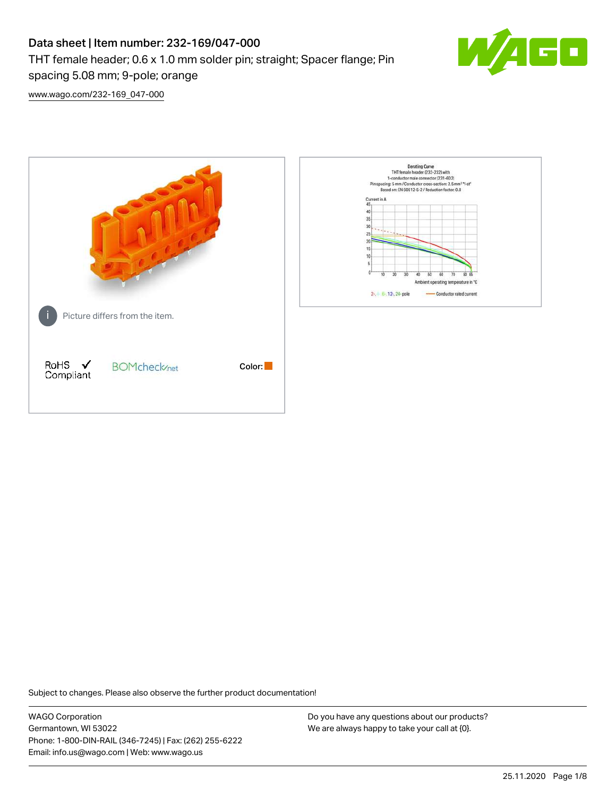# Data sheet | Item number: 232-169/047-000 THT female header; 0.6 x 1.0 mm solder pin; straight; Spacer flange; Pin spacing 5.08 mm; 9-pole; orange



[www.wago.com/232-169\\_047-000](http://www.wago.com/232-169_047-000)



Subject to changes. Please also observe the further product documentation!

WAGO Corporation Germantown, WI 53022 Phone: 1-800-DIN-RAIL (346-7245) | Fax: (262) 255-6222 Email: info.us@wago.com | Web: www.wago.us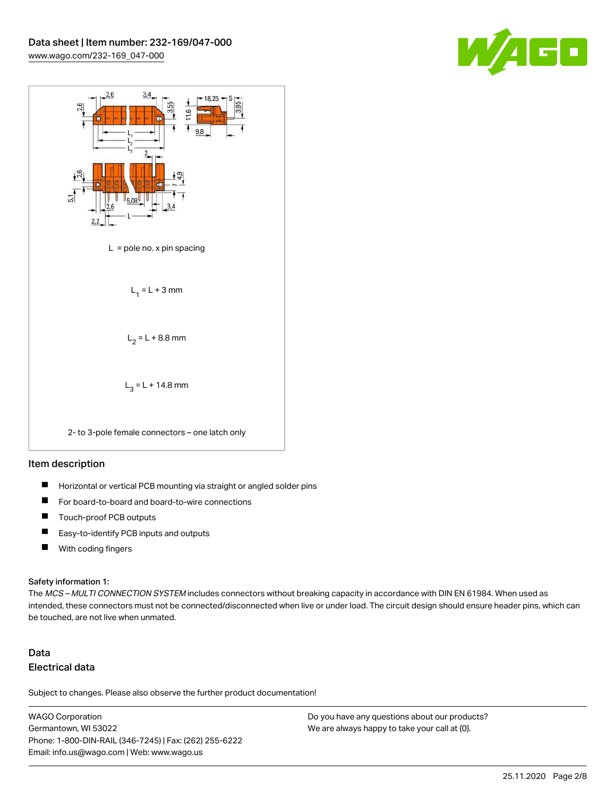



#### Item description

- $\blacksquare$ Horizontal or vertical PCB mounting via straight or angled solder pins
- П For board-to-board and board-to-wire connections
- $\blacksquare$ Touch-proof PCB outputs
- $\blacksquare$ Easy-to-identify PCB inputs and outputs
- $\blacksquare$ With coding fingers

#### Safety information 1:

The MCS - MULTI CONNECTION SYSTEM includes connectors without breaking capacity in accordance with DIN EN 61984. When used as intended, these connectors must not be connected/disconnected when live or under load. The circuit design should ensure header pins, which can be touched, are not live when unmated.

## Data Electrical data

Subject to changes. Please also observe the further product documentation!

WAGO Corporation Germantown, WI 53022 Phone: 1-800-DIN-RAIL (346-7245) | Fax: (262) 255-6222 Email: info.us@wago.com | Web: www.wago.us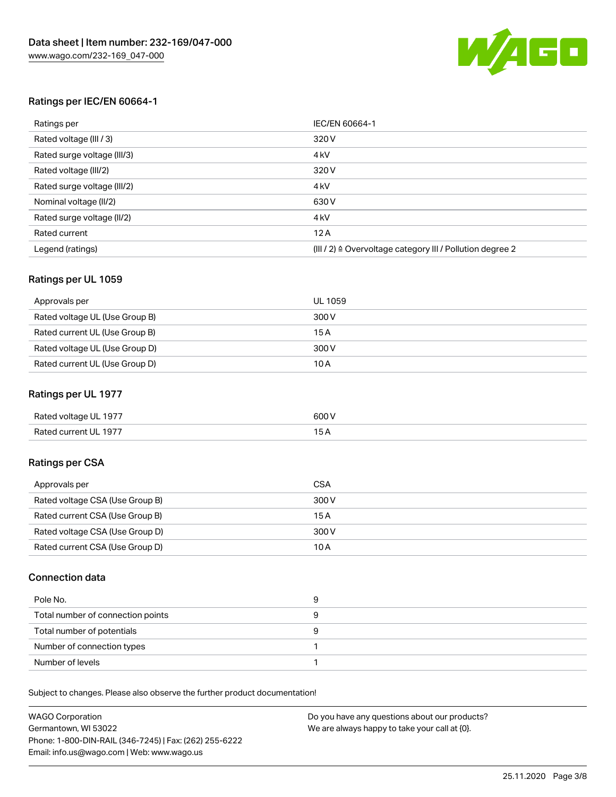

### Ratings per IEC/EN 60664-1

| Ratings per                 | IEC/EN 60664-1                                                        |
|-----------------------------|-----------------------------------------------------------------------|
| Rated voltage (III / 3)     | 320 V                                                                 |
| Rated surge voltage (III/3) | 4 <sub>k</sub> V                                                      |
| Rated voltage (III/2)       | 320 V                                                                 |
| Rated surge voltage (III/2) | 4 <sub>k</sub> V                                                      |
| Nominal voltage (II/2)      | 630 V                                                                 |
| Rated surge voltage (II/2)  | 4 <sub>k</sub> V                                                      |
| Rated current               | 12A                                                                   |
| Legend (ratings)            | $(III / 2)$ $\triangle$ Overvoltage category III / Pollution degree 2 |

### Ratings per UL 1059

| Approvals per                  | UL 1059 |
|--------------------------------|---------|
| Rated voltage UL (Use Group B) | 300 V   |
| Rated current UL (Use Group B) | 15 A    |
| Rated voltage UL (Use Group D) | 300 V   |
| Rated current UL (Use Group D) | 10A     |

### Ratings per UL 1977

| Rated voltage UL 1977 | 600 <sup>V</sup><br>. |
|-----------------------|-----------------------|
| Rated current UL 1977 |                       |

## Ratings per CSA

| Approvals per                   | CSA   |
|---------------------------------|-------|
| Rated voltage CSA (Use Group B) | 300 V |
| Rated current CSA (Use Group B) | 15A   |
| Rated voltage CSA (Use Group D) | 300 V |
| Rated current CSA (Use Group D) | 10 A  |

### Connection data

| Pole No.                          |  |
|-----------------------------------|--|
| Total number of connection points |  |
| Total number of potentials        |  |
| Number of connection types        |  |
| Number of levels                  |  |

Subject to changes. Please also observe the further product documentation!

| <b>WAGO Corporation</b>                                | Do you have any questions about our products? |
|--------------------------------------------------------|-----------------------------------------------|
| Germantown, WI 53022                                   | We are always happy to take your call at {0}. |
| Phone: 1-800-DIN-RAIL (346-7245)   Fax: (262) 255-6222 |                                               |
| Email: info.us@wago.com   Web: www.wago.us             |                                               |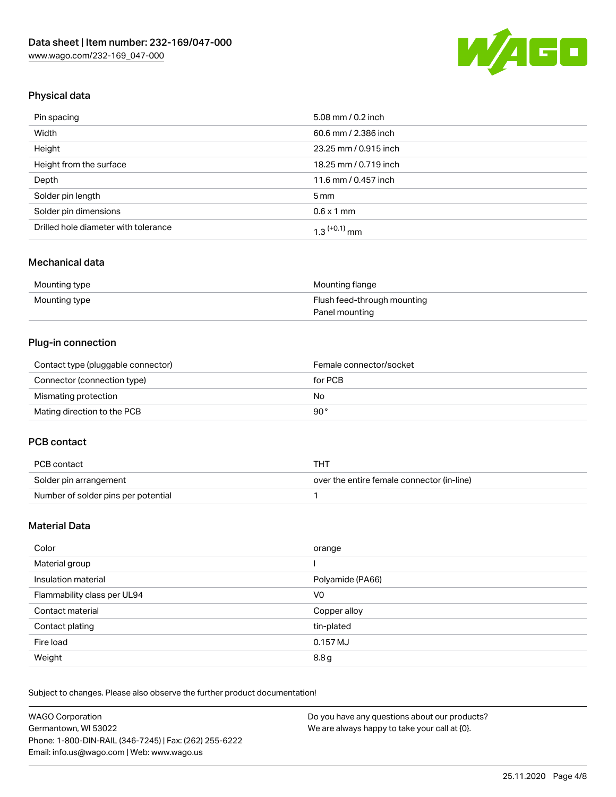

## Physical data

| Pin spacing                          | 5.08 mm / 0.2 inch    |
|--------------------------------------|-----------------------|
| Width                                | 60.6 mm / 2.386 inch  |
| Height                               | 23.25 mm / 0.915 inch |
| Height from the surface              | 18.25 mm / 0.719 inch |
| Depth                                | 11.6 mm / 0.457 inch  |
| Solder pin length                    | $5 \,\mathrm{mm}$     |
| Solder pin dimensions                | $0.6 \times 1$ mm     |
| Drilled hole diameter with tolerance | $1.3$ $(+0.1)$ mm     |

## Mechanical data

| Mounting type | Mounting flange             |
|---------------|-----------------------------|
| Mounting type | Flush feed-through mounting |
|               | Panel mounting              |

## Plug-in connection

| Contact type (pluggable connector) | Female connector/socket |
|------------------------------------|-------------------------|
| Connector (connection type)        | for PCB                 |
| Mismating protection               | No                      |
| Mating direction to the PCB        | 90°                     |

### PCB contact

| PCB contact                         | тнт                                        |
|-------------------------------------|--------------------------------------------|
| Solder pin arrangement              | over the entire female connector (in-line) |
| Number of solder pins per potential |                                            |

## Material Data

| Color                       | orange           |
|-----------------------------|------------------|
| Material group              |                  |
| Insulation material         | Polyamide (PA66) |
| Flammability class per UL94 | V0               |
| Contact material            | Copper alloy     |
| Contact plating             | tin-plated       |
| Fire load                   | 0.157 MJ         |
| Weight                      | 8.8g             |

Subject to changes. Please also observe the further product documentation!

| <b>WAGO Corporation</b>                                | Do you have any questions about our products? |
|--------------------------------------------------------|-----------------------------------------------|
| Germantown, WI 53022                                   | We are always happy to take your call at {0}. |
| Phone: 1-800-DIN-RAIL (346-7245)   Fax: (262) 255-6222 |                                               |
| Email: info.us@wago.com   Web: www.wago.us             |                                               |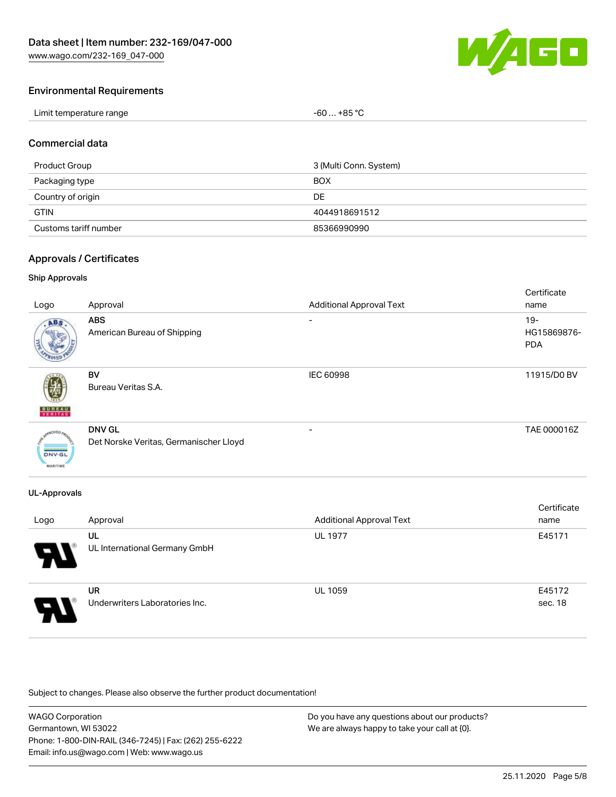

### Environmental Requirements

| Limit temperature range | $-60+85 °C$ |
|-------------------------|-------------|
|-------------------------|-------------|

#### Commercial data

| Product Group         | 3 (Multi Conn. System) |
|-----------------------|------------------------|
| Packaging type        | <b>BOX</b>             |
| Country of origin     | DE                     |
| <b>GTIN</b>           | 4044918691512          |
| Customs tariff number | 85366990990            |

#### Approvals / Certificates

#### Ship Approvals

| Logo                                       | Approval                                                | <b>Additional Approval Text</b> | Certificate<br>name                 |
|--------------------------------------------|---------------------------------------------------------|---------------------------------|-------------------------------------|
| ABS                                        | <b>ABS</b><br>American Bureau of Shipping               | -                               | $19 -$<br>HG15869876-<br><b>PDA</b> |
| <b>BUREAU</b><br>VERITAS                   | BV<br>Bureau Veritas S.A.                               | <b>IEC 60998</b>                | 11915/D0 BV                         |
| aOVED.<br><b>DNV-GL</b><br><b>MARITIME</b> | <b>DNV GL</b><br>Det Norske Veritas, Germanischer Lloyd |                                 | TAE 000016Z                         |

### UL-Approvals

| Logo                  | Approval                                    | <b>Additional Approval Text</b> | Certificate<br>name |
|-----------------------|---------------------------------------------|---------------------------------|---------------------|
| $\boldsymbol{\theta}$ | UL<br>UL International Germany GmbH         | <b>UL 1977</b>                  | E45171              |
| 8                     | <b>UR</b><br>Underwriters Laboratories Inc. | <b>UL 1059</b>                  | E45172<br>sec. 18   |

Subject to changes. Please also observe the further product documentation!

| <b>WAGO Corporation</b>                                | Do you have any questions about our products? |
|--------------------------------------------------------|-----------------------------------------------|
| Germantown, WI 53022                                   | We are always happy to take your call at {0}. |
| Phone: 1-800-DIN-RAIL (346-7245)   Fax: (262) 255-6222 |                                               |
| Email: info.us@wago.com   Web: www.wago.us             |                                               |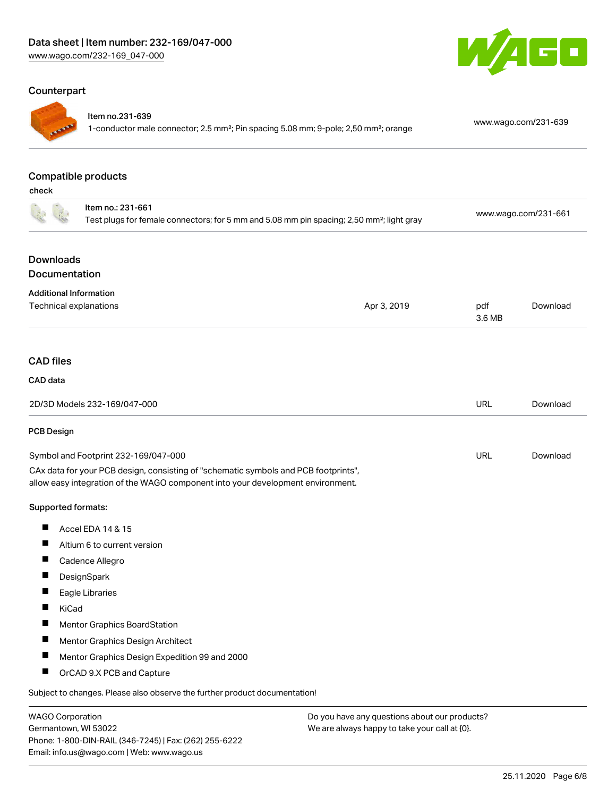## Counterpart



#### Item no.231-639

1-conductor male connector; 2.5 mm²; Pin spacing 5.08 mm; 9-pole; 2,50 mm²; orange [www.wago.com/231-639](https://www.wago.com/231-639)

GO

#### Compatible products

check

| טווטטו                                                                                                                     |                                                                                                                                                                        |                      |               |          |
|----------------------------------------------------------------------------------------------------------------------------|------------------------------------------------------------------------------------------------------------------------------------------------------------------------|----------------------|---------------|----------|
| Item no.: 231-661<br>Test plugs for female connectors; for 5 mm and 5.08 mm pin spacing; 2,50 mm <sup>2</sup> ; light gray |                                                                                                                                                                        | www.wago.com/231-661 |               |          |
| <b>Downloads</b>                                                                                                           |                                                                                                                                                                        |                      |               |          |
| Documentation                                                                                                              |                                                                                                                                                                        |                      |               |          |
| <b>Additional Information</b>                                                                                              |                                                                                                                                                                        |                      |               |          |
| Technical explanations                                                                                                     |                                                                                                                                                                        | Apr 3, 2019          | pdf<br>3.6 MB | Download |
| <b>CAD</b> files                                                                                                           |                                                                                                                                                                        |                      |               |          |
| CAD data                                                                                                                   |                                                                                                                                                                        |                      |               |          |
|                                                                                                                            | 2D/3D Models 232-169/047-000                                                                                                                                           |                      | <b>URL</b>    | Download |
| PCB Design                                                                                                                 |                                                                                                                                                                        |                      |               |          |
|                                                                                                                            | Symbol and Footprint 232-169/047-000                                                                                                                                   |                      | <b>URL</b>    | Download |
|                                                                                                                            | CAx data for your PCB design, consisting of "schematic symbols and PCB footprints",<br>allow easy integration of the WAGO component into your development environment. |                      |               |          |
| Supported formats:                                                                                                         |                                                                                                                                                                        |                      |               |          |
| H.                                                                                                                         | Accel EDA 14 & 15                                                                                                                                                      |                      |               |          |
| ш                                                                                                                          | Altium 6 to current version                                                                                                                                            |                      |               |          |
| ш                                                                                                                          | Cadence Allegro                                                                                                                                                        |                      |               |          |
| ш                                                                                                                          | DesignSpark                                                                                                                                                            |                      |               |          |
|                                                                                                                            | Eagle Libraries                                                                                                                                                        |                      |               |          |
| Ш<br>KiCad                                                                                                                 |                                                                                                                                                                        |                      |               |          |
| ш                                                                                                                          | <b>Mentor Graphics BoardStation</b>                                                                                                                                    |                      |               |          |
| ш                                                                                                                          | Mentor Graphics Design Architect                                                                                                                                       |                      |               |          |
| ш                                                                                                                          | Mentor Graphics Design Expedition 99 and 2000                                                                                                                          |                      |               |          |
| ш                                                                                                                          | OrCAD 9.X PCB and Capture                                                                                                                                              |                      |               |          |
|                                                                                                                            | Subject to changes. Please also observe the further product documentation!                                                                                             |                      |               |          |
|                                                                                                                            |                                                                                                                                                                        |                      |               |          |

WAGO Corporation Germantown, WI 53022 Phone: 1-800-DIN-RAIL (346-7245) | Fax: (262) 255-6222 Email: info.us@wago.com | Web: www.wago.us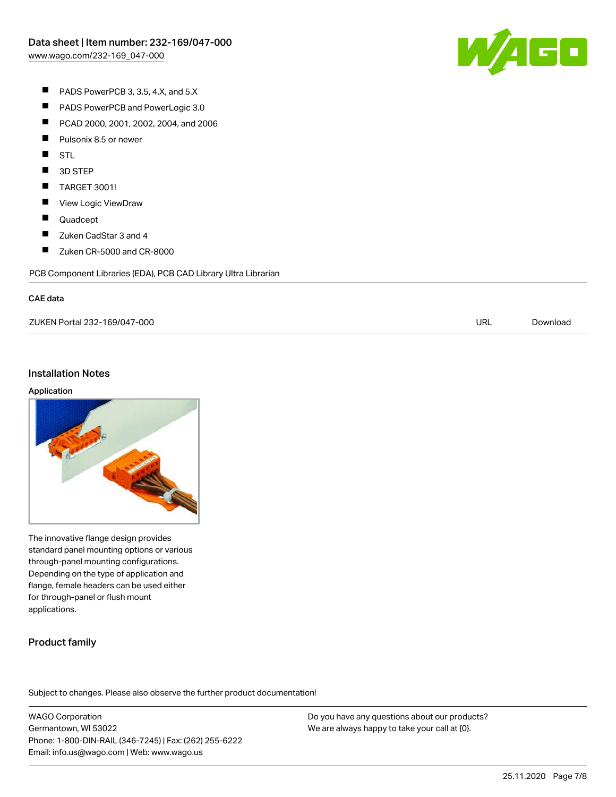

- $\blacksquare$ PADS PowerPCB 3, 3.5, 4.X, and 5.X
- $\blacksquare$ PADS PowerPCB and PowerLogic 3.0
- $\blacksquare$ PCAD 2000, 2001, 2002, 2004, and 2006
- $\blacksquare$ Pulsonix 8.5 or newer
- $\blacksquare$ STL
- $\blacksquare$ 3D STEP
- $\blacksquare$ TARGET 3001!
- $\blacksquare$ View Logic ViewDraw
- $\blacksquare$ Quadcept
- $\blacksquare$ Zuken CadStar 3 and 4
- $\blacksquare$ Zuken CR-5000 and CR-8000

PCB Component Libraries (EDA), PCB CAD Library Ultra Librarian

#### CAE data

ZUKEN Portal 232-169/047-000 URL [Download](https://www.wago.com/us/d/Zuken_URLS_232-169_047-000)

#### Installation Notes

#### Application



The innovative flange design provides standard panel mounting options or various through-panel mounting configurations. Depending on the type of application and flange, female headers can be used either for through-panel or flush mount applications.

## Product family

Subject to changes. Please also observe the further product documentation!

WAGO Corporation Germantown, WI 53022 Phone: 1-800-DIN-RAIL (346-7245) | Fax: (262) 255-6222 Email: info.us@wago.com | Web: www.wago.us